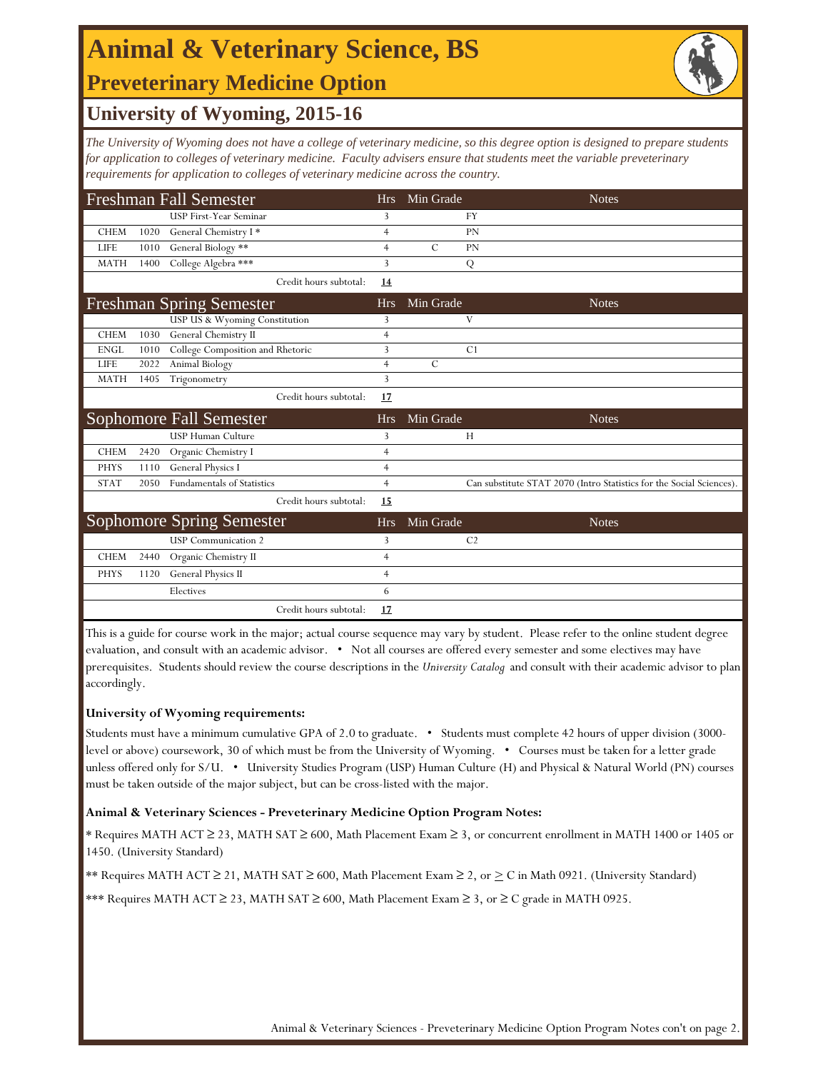### **Preveterinary Medicine Option Animal & Veterinary Science, BS**



### **University of Wyoming, 2015-16**

*The University of Wyoming does not have a college of veterinary medicine, so this degree option is designed to prepare students for application to colleges of veterinary medicine. Faculty advisers ensure that students meet the variable preveterinary requirements for application to colleges of veterinary medicine across the country.* 

|             |      | <b>Freshman Fall Semester</b>     | <b>Hrs</b>     | Min Grade     | <b>Notes</b>                                                         |
|-------------|------|-----------------------------------|----------------|---------------|----------------------------------------------------------------------|
|             |      | USP First-Year Seminar            | 3              |               | <b>FY</b>                                                            |
| <b>CHEM</b> | 1020 | General Chemistry I*              | $\overline{4}$ |               | <b>PN</b>                                                            |
| <b>LIFE</b> | 1010 | General Biology **                | $\overline{4}$ | $\mathcal{C}$ | <b>PN</b>                                                            |
| <b>MATH</b> | 1400 | College Algebra ***               | 3              |               | Q                                                                    |
|             |      | Credit hours subtotal:            | 14             |               |                                                                      |
|             |      | <b>Freshman Spring Semester</b>   | <b>Hrs</b>     | Min Grade     | <b>Notes</b>                                                         |
|             |      | USP US & Wyoming Constitution     | 3              |               | V                                                                    |
| <b>CHEM</b> | 1030 | General Chemistry II              | $\overline{4}$ |               |                                                                      |
| <b>ENGL</b> | 1010 | College Composition and Rhetoric  | 3              |               | C1                                                                   |
| <b>LIFE</b> | 2022 | Animal Biology                    | $\overline{4}$ | $\mathcal{C}$ |                                                                      |
| <b>MATH</b> | 1405 | Trigonometry                      | 3              |               |                                                                      |
|             |      | Credit hours subtotal:            | 17             |               |                                                                      |
|             |      | Sophomore Fall Semester           | <b>Hrs</b>     | Min Grade     | <b>Notes</b>                                                         |
|             |      | <b>USP Human Culture</b>          | 3              |               | H                                                                    |
| <b>CHEM</b> | 2420 | Organic Chemistry I               | $\overline{4}$ |               |                                                                      |
|             |      |                                   |                |               |                                                                      |
| <b>PHYS</b> | 1110 | General Physics I                 | 4              |               |                                                                      |
| <b>STAT</b> | 2050 | <b>Fundamentals of Statistics</b> | $\overline{4}$ |               | Can substitute STAT 2070 (Intro Statistics for the Social Sciences). |
|             |      | Credit hours subtotal:            | 15             |               |                                                                      |
|             |      | <b>Sophomore Spring Semester</b>  | <b>Hrs</b>     | Min Grade     | <b>Notes</b>                                                         |
|             |      | <b>USP</b> Communication 2        | 3              |               | C <sub>2</sub>                                                       |
| <b>CHEM</b> | 2440 | Organic Chemistry II              | $\overline{4}$ |               |                                                                      |
| <b>PHYS</b> | 1120 | General Physics II                | $\overline{4}$ |               |                                                                      |
|             |      | Electives                         | 6              |               |                                                                      |

This is a guide for course work in the major; actual course sequence may vary by student. Please refer to the online student degree evaluation, and consult with an academic advisor. • Not all courses are offered every semester and some electives may have prerequisites. Students should review the course descriptions in the *University Catalog* and consult with their academic advisor to plan accordingly.

#### **University of Wyoming requirements:**

Students must have a minimum cumulative GPA of 2.0 to graduate. • Students must complete 42 hours of upper division (3000 level or above) coursework, 30 of which must be from the University of Wyoming. • Courses must be taken for a letter grade unless offered only for S/U. • University Studies Program (USP) Human Culture (H) and Physical & Natural World (PN) courses must be taken outside of the major subject, but can be cross-listed with the major.

#### **Animal & Veterinary Sciences - Preveterinary Medicine Option Program Notes:**

\* Requires MATH ACT ≥ 23, MATH SAT ≥ 600, Math Placement Exam ≥ 3, or concurrent enrollment in MATH 1400 or 1405 or 1450. (University Standard)

\*\* Requires MATH ACT ≥ 21, MATH SAT ≥ 600, Math Placement Exam ≥ 2, or ≥ C in Math 0921. (University Standard)

\*\*\* Requires MATH ACT ≥ 23, MATH SAT ≥ 600, Math Placement Exam ≥ 3, or ≥ C grade in MATH 0925.